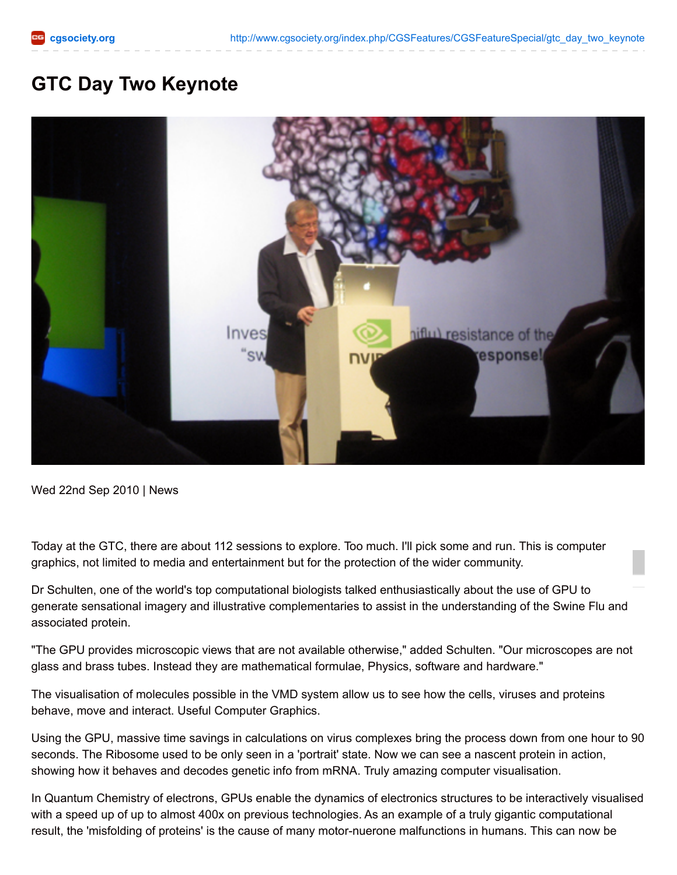## **GTC Day Two Keynote**



Wed 22nd Sep 2010 | News

Today at the GTC, there are about 112 sessions to explore. Too much. I'll pick some and run. This is computer graphics, not limited to media and entertainment but for the protection of the wider community.

Dr Schulten, one of the world's top computational biologists talked enthusiastically about the use of GPU to generate sensational imagery and illustrative complementaries to assist in the understanding of the Swine Flu and associated protein.

"The GPU provides microscopic views that are not available otherwise," added Schulten. "Our microscopes are not glass and brass tubes. Instead they are mathematical formulae, Physics, software and hardware."

The visualisation of molecules possible in the VMD system allow us to see how the cells, viruses and proteins behave, move and interact. Useful Computer Graphics.

Using the GPU, massive time savings in calculations on virus complexes bring the process down from one hour to 90 seconds. The Ribosome used to be only seen in a 'portrait' state. Now we can see a nascent protein in action, showing how it behaves and decodes genetic info from mRNA. Truly amazing computer visualisation.

In Quantum Chemistry of electrons, GPUs enable the dynamics of electronics structures to be interactively visualised with a speed up of up to almost 400x on previous technologies. As an example of a truly gigantic computational result, the 'misfolding of proteins' is the cause of many motor-nuerone malfunctions in humans. This can now be